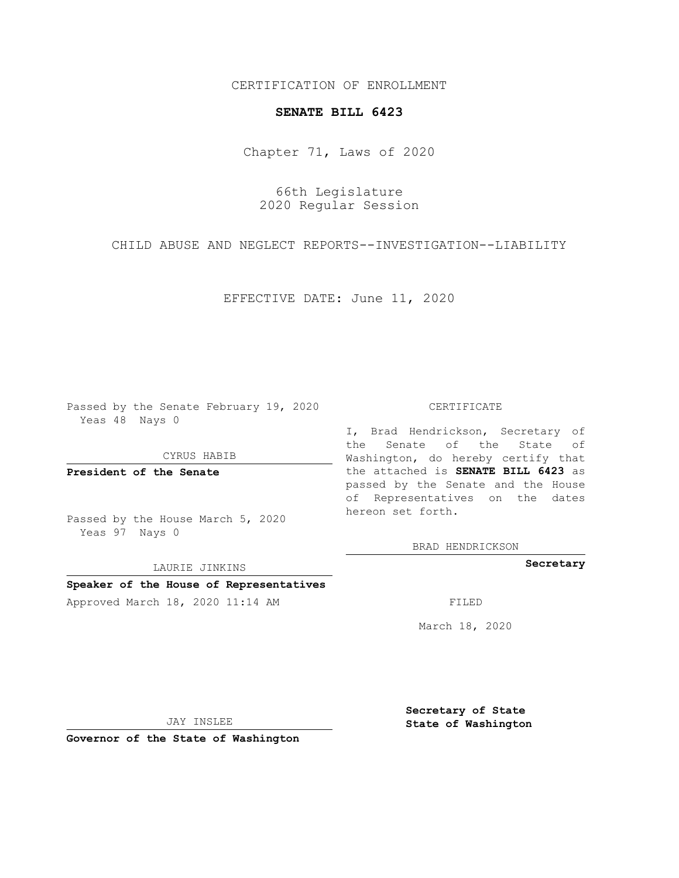CERTIFICATION OF ENROLLMENT

## **SENATE BILL 6423**

Chapter 71, Laws of 2020

66th Legislature 2020 Regular Session

CHILD ABUSE AND NEGLECT REPORTS--INVESTIGATION--LIABILITY

EFFECTIVE DATE: June 11, 2020

Passed by the Senate February 19, 2020 Yeas 48 Nays 0

CYRUS HABIB

**President of the Senate**

Passed by the House March 5, 2020 Yeas 97 Nays 0

LAURIE JINKINS

## **Speaker of the House of Representatives**

Approved March 18, 2020 11:14 AM FILED

## CERTIFICATE

I, Brad Hendrickson, Secretary of the Senate of the State of Washington, do hereby certify that the attached is **SENATE BILL 6423** as passed by the Senate and the House of Representatives on the dates hereon set forth.

BRAD HENDRICKSON

**Secretary**

March 18, 2020

JAY INSLEE

**Governor of the State of Washington**

**Secretary of State State of Washington**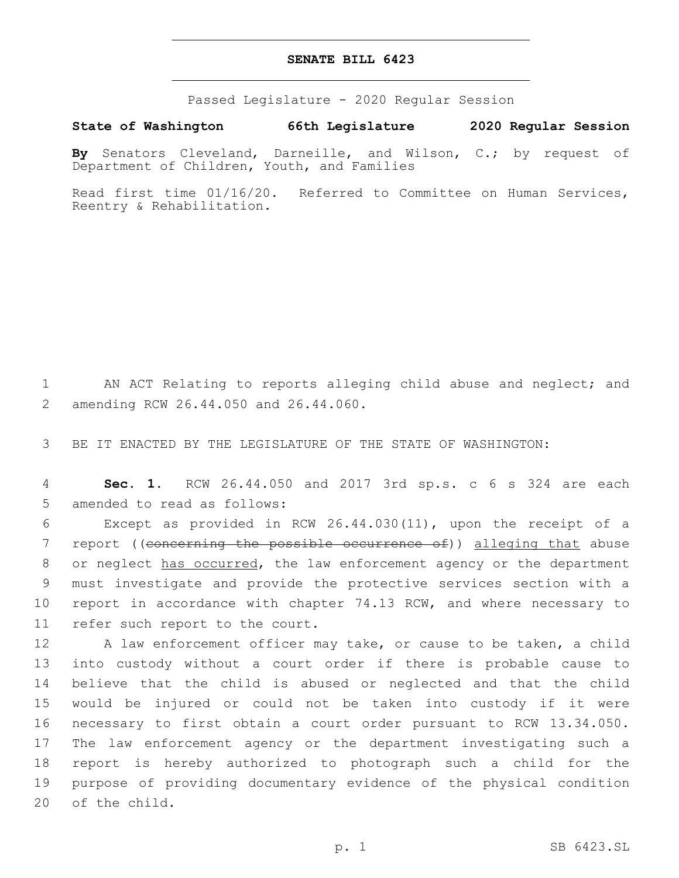## **SENATE BILL 6423**

Passed Legislature - 2020 Regular Session

**State of Washington 66th Legislature 2020 Regular Session**

**By** Senators Cleveland, Darneille, and Wilson, C.; by request of Department of Children, Youth, and Families

Read first time 01/16/20. Referred to Committee on Human Services, Reentry & Rehabilitation.

1 AN ACT Relating to reports alleging child abuse and neglect; and amending RCW 26.44.050 and 26.44.060.2

3 BE IT ENACTED BY THE LEGISLATURE OF THE STATE OF WASHINGTON:

4 **Sec. 1.** RCW 26.44.050 and 2017 3rd sp.s. c 6 s 324 are each 5 amended to read as follows:

6 Except as provided in RCW 26.44.030(11), upon the receipt of a 7 report ((concerning the possible occurrence of)) alleging that abuse 8 or neglect has occurred, the law enforcement agency or the department 9 must investigate and provide the protective services section with a 10 report in accordance with chapter 74.13 RCW, and where necessary to 11 refer such report to the court.

12 A law enforcement officer may take, or cause to be taken, a child into custody without a court order if there is probable cause to believe that the child is abused or neglected and that the child would be injured or could not be taken into custody if it were necessary to first obtain a court order pursuant to RCW 13.34.050. The law enforcement agency or the department investigating such a report is hereby authorized to photograph such a child for the purpose of providing documentary evidence of the physical condition 20 of the child.